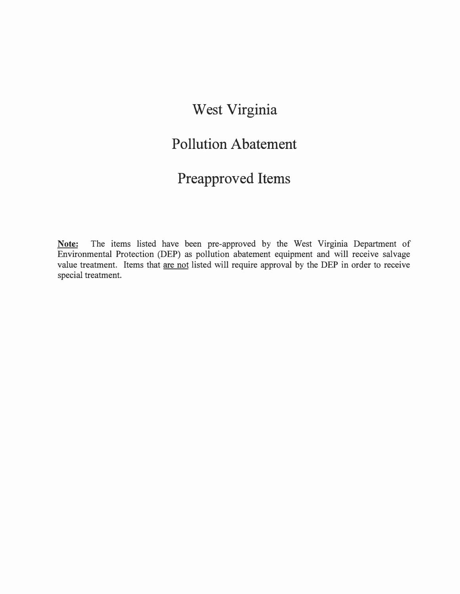## **West Virginia**

## **Pollution Abatement**

## **Preapproved Items**

**Note:** The items listed have been pre-approved by the West Virginia Department of Environmental Protection (DEP) as pollution abatement equipment and will receive salvage value treatment. Items that are not listed will require approval by the DEP in order to receive special treatment.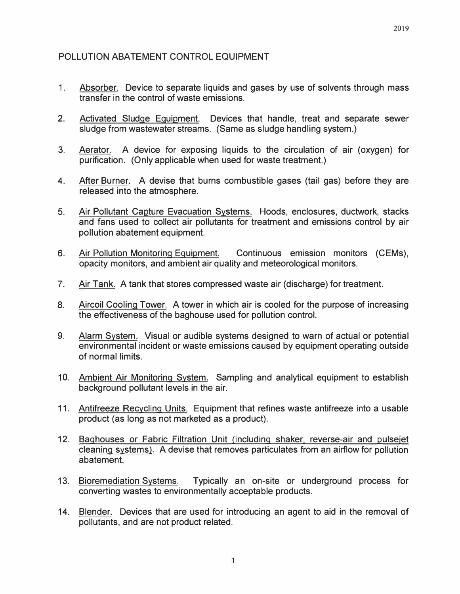2019

## POLLUTION ABATEMENT CONTROL EQUIPMENT

- 1. Absorber. Device to separate liquids and gases by use of solvents through mass transfer in the control of waste emissions.
- 2. Activated Sludge Equipment. Devices that handle, treat and separate sewer sludge from wastewater streams. (Same as sludge handling system.)
- 3. Aerator. A device for exposing liquids to the circulation of air (oxygen) for purification. (Only applicable when used for waste treatment.)
- 4. After Burner. A devise that burns combustible gases (tail gas) before they are released into the atmosphere.
- 5. Air Pollutant Capture Evacuation Systems. Hoods, enclosures, ductwork, stacks and fans used to collect air pollutants for treatment and emissions control by air pollution abatement equipment.
- 6. Air Pollution Monitoring Equipment. Continuous emission monitors (CEMs), opacity monitors, and ambient air quality and meteorological monitors.
- 7. Air Tank. A tank that stores compressed waste air (discharge) for treatment.
- 8. Aircoil Cooling Tower. A tower in which air is cooled for the purpose of increasing the effectiveness of the baghouse used for pollution control.
- 9. Alarm System. Visual or audible systems designed to warn of actual or potential environmental incident or waste emissions caused by equipment operating outside of normal limits.
- 10. Ambient Air Monitoring System. Sampling and analytical equipment to establish background pollutant levels in the air.
- 11. Antifreeze Recycling Units. Equipment that refines waste antifreeze into a usable product (as long as not marketed as a product).
- 12. Baghouses or Fabric Filtration Unit (including shaker, reverse-air and pulseiet cleaning systems). A devise that removes particulates from an airflow for pollution abatement.
- 13. Bioremediation Systems. Typically an on-site or underground process for converting wastes to environmentally acceptable products.
- 14. Blender. Devices that are used for introducing an agent to aid in the removal of pollutants, and are not product related.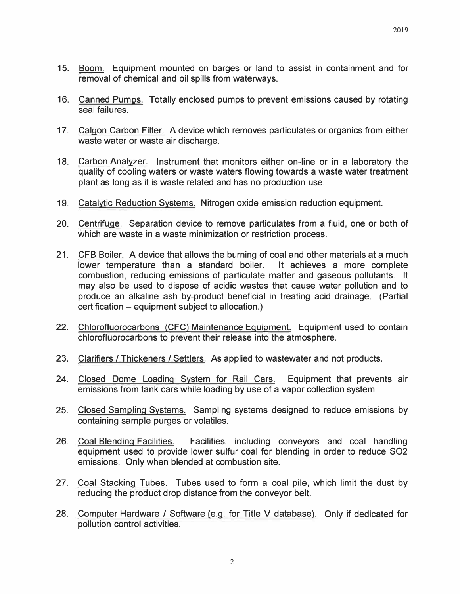- 15. Boom. Equipment mounted on barges or land to assist in containment and for removal of chemical and oil spills from waterways.
- 16. Canned Pumps. Totally enclosed pumps to prevent emissions caused by rotating seal failures.
- 17. Calgon Carbon Filter. A device which removes particulates or organics from either waste water or waste air discharge.
- 18. Carbon Analyzer. Instrument that monitors either on-line or in a laboratory the quality of cooling waters or waste waters flowing towards a waste water treatment plant as long as it is waste related and has no production use.
- 19. Catalytic Reduction Systems. Nitrogen oxide emission reduction equipment.
- 20. Centrifuge. Separation device to remove particulates from a fluid, one or both of which are waste in a waste minimization or restriction process.
- 21. CFB Boiler. A device that allows the burning of coal and other materials at a much lower temperature than a standard boiler. It achieves a more complete combustion, reducing emissions of particulate matter and gaseous pollutants. It may also be used to dispose of acidic wastes that cause water pollution and to produce an alkaline ash by-product beneficial in treating acid drainage. (Partial certification – equipment subject to allocation.)
- 22. Chlorofluorocarbons (CFC) Maintenance Equipment. Equipment used to contain chlorofluorocarbons to prevent their release into the atmosphere.
- 23. Clarifiers / Thickeners / Settlers. As applied to wastewater and not products.
- 24. Closed Dome Loading System for Rail Cars. Equipment that prevents air emissions from tank cars while loading by use of a vapor collection system.
- 25. Closed Sampling Systems. Sampling systems designed to reduce emissions by containing sample purges or volatiles.
- 26. Coal Blending Facilities. Facilities, including conveyors and coal handling equipment used to provide lower sulfur coal for blending in order to reduce SO2 emissions. Only when blended at combustion site.
- 27. Coal Stacking Tubes. Tubes used to form a coal pile, which limit the dust by reducing the product drop distance from the conveyor belt.
- 28. Computer Hardware / Software (e.g. for Title V database). Only if dedicated for pollution control activities.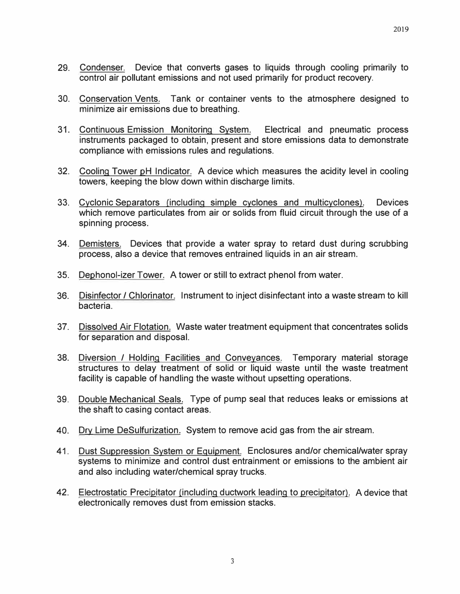- 29. Condenser. Device that converts gases to liquids through cooling primarily to control air pollutant emissions and not used primarily for product recovery.
- 30. Conservation Vents. Tank or container vents to the atmosphere designed to minimize air emissions due to breathing.
- 31. Continuous Emission Monitoring System. Electrical and pneumatic process instruments packaged to obtain, present and store emissions data to demonstrate compliance with emissions rules and regulations.
- 32. Cooling Tower pH Indicator. A device which measures the acidity level in cooling towers, keeping the blow down within discharge limits.
- 33. Cyclonic Separators (including simple cyclones and multicyclones). Devices which remove particulates from air or solids from fluid circuit through the use of a spinning process.
- 34. Demisters. Devices that provide a water spray to retard dust during scrubbing process, also a device that removes entrained liquids in an air stream.
- 35. Dephonol-izer Tower. A tower or still to extract phenol from water.
- 36. Disinfector / Chlorinator. Instrument to inject disinfectant into a waste stream to kill bacteria.
- 37. Dissolved Air Flotation. Waste water treatment equipment that concentrates solids for separation and disposal.
- 38. Diversion./ Holding Facilities and Conveyances. Temporary material storage structures to delay treatment of solid or liquid waste until the waste treatment facility is capable of handling the waste without upsetting operations.
- 39. Double Mechanical Seals. Type of pump seal that reduces leaks or emissions at the shaft to casing contact areas.
- 40. Dry Lime DeSulfurization. System to remove acid gas from the air stream.
- 41. Dust Suppression System or Equipment. Enclosures and/or chemical/water spray systems to minimize and control dust entrainment or emissions to the ambient air and also including water/chemical spray trucks.
- 42. Electrostatic Precipitator (including ductwork leading to precipitator). A device that electronically removes dust from emission stacks.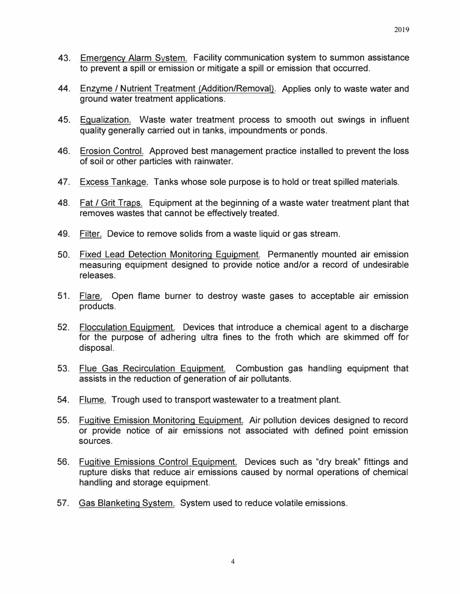- 43. Emergency Alarm System. Facility communication system to summon assistance to prevent a spill or emission or mitigate a spill or emission that occurred.
- 44. Enzyme / Nutrient Treatment (Addition/Removal). Applies only to waste water and ground water treatment applications.
- 45. Equalization. Waste water treatment process to smooth out swings in influent quality generally carried out in tanks, impoundments or ponds.
- 46. Erosion Control. Approved best management practice installed to prevent the loss of soil or other particles with rainwater.
- 47. Excess Tankage. Tanks whose sole purpose is to hold or treat spilled materials.
- 48. Fat / Grit Traps. Equipment at the beginning of a waste water treatment plant that removes wastes that cannot be effectively treated.
- 49. Filter. Device to remove solids from a waste liquid or gas stream.
- 50. Fixed Lead Detection Monitoring Equipment. Permanently mounted air emission measuring equipment designed to provide notice and/or a record of undesirable releases.
- 51. Flare. Open flame burner to destroy waste gases to acceptable air emission products.
- 52. Flocculation Equipment. Devices that introduce a chemical agent to a discharge for the purpose of adhering ultra fines to the froth which are skimmed off for disposal.
- 53. Flue Gas Recirculation Equipment. Combustion gas handling equipment that assists in the reduction of generation of air pollutants.
- 54. Flume. Trough used to transport wastewater to a treatment plant.
- 55. Fugitive Emission Monitoring Equipment. Air pollution devices designed to record or provide notice of air emissions not associated with defined point emission sources.
- 56. Fugitive Emissions Control Equipment. Devices such as "dry break" fittings and rupture disks that reduce air emissions caused by normal operations of chemical handling and storage equipment.
- 57. Gas Blanketing System. System used to reduce volatile emissions.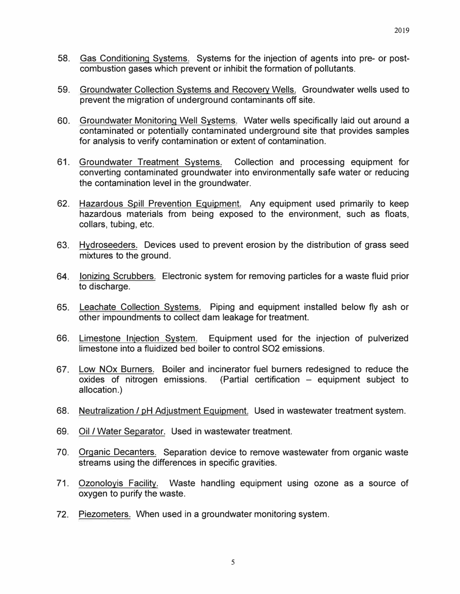- 58. Gas Conditioning Systems. Systems for the injection of agents into pre- or postcombustion gases which prevent or inhibit the formation of pollutants.
- 59. Groundwater Collection Systems and Recovery Wells. Groundwater wells used to prevent the migration of underground contaminants off site.
- 60. Groundwater Monitoring Well Systems. Water wells specifically laid out around a contaminated or potentially contaminated underground site that provides samples for analysis to verify contamination or extent of contamination.
- 61. Groundwater Treatment Systems. Collection and processing equipment for converting contaminated groundwater into environmentally safe water or reducing the contamination level in the groundwater.
- 62. Hazardous Spill Prevention Equipment. Any equipment used primarily to keep hazardous materials from being exposed to the environment, such as floats, collars, tubing, etc.
- 63. Hydroseeders. Devices used to prevent erosion by the distribution of grass seed mixtures to the ground.
- 64. Ionizing Scrubbers. Electronic system for removing particles for a waste fluid prior to discharge.
- 65. Leachate Collection Systems. Piping and equipment installed below fly ash or other impoundments to collect dam leakage for treatment.
- 66. Limestone Injection System. Equipment used for the injection of pulverized limestone into a fluidized bed boiler to control SO2 emissions.
- 67. Low NOx Burners. Boiler and incinerator fuel burners redesigned to reduce the oxides of nitrogen emissions. (Partial certification  $-$  equipment subject to allocation.)
- 68. Neutralization/ pH Adjustment Equipment. Used in wastewater treatment system.
- 69. Oil/ Water Separator. Used in wastewater treatment.
- 70. Organic Decanters. Separation device to remove wastewater from organic waste streams using the differences in specific gravities.
- 71. Ozonoloyis Facility. Waste handling equipment using ozone as a source of oxygen to purify the waste.
- 72. Piezometers. When used in a groundwater monitoring system.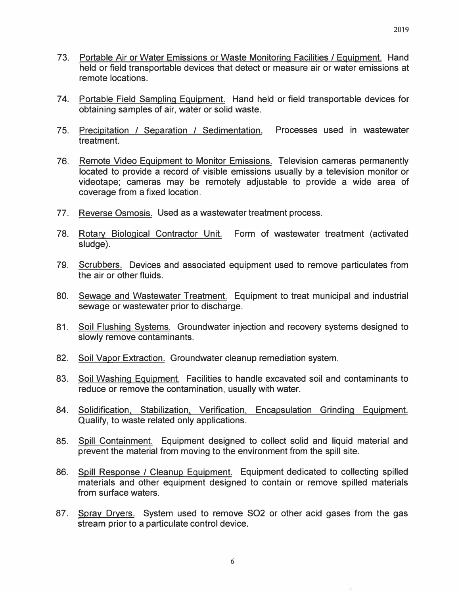- 73. Portable Air or Water Emissions or Waste Monitoring Facilities / Equipment. Hand held or field transportable devices that detect or measure air or water emissions at remote locations.
- 74. Portable Field Sampling Equipment. Hand held or field transportable devices for obtaining samples of air, water or solid waste.
- 75. Precipitation / Separation / Sedimentation. Processes used in wastewater treatment.
- 76. Remote Video Equipment to Monitor Emissions. Television cameras permanently located to provide a record of visible emissions usually by a television monitor or videotape; cameras may be remotely adjustable to provide a wide area of coverage from a fixed location.
- 77. Reverse Osmosis. Used as a wastewater treatment process.
- 78. Rotary Biological Contractor Unit. Form of wastewater treatment (activated sludge).
- 79. Scrubbers. Devices and associated equipment used to remove particulates from the air or other fluids.
- 80. Sewage and Wastewater Treatment. Equipment to treat municipal and industrial sewage or wastewater prior to discharge.
- 81. Soil Flushing Systems. Groundwater injection and recovery systems designed to slowly remove contaminants.
- 82. Soil Vapor Extraction. Groundwater cleanup remediation system.
- 83. Soil Washing Equipment. Facilities to handle excavated soil and contaminants to reduce or remove the contamination, usually with water.
- 84. Solidification, Stabilization, Verification, Encapsulation Grinding Equipment. Qualify, to waste related only applications.
- 85. Spill Containment. Equipment designed to collect solid and liquid material and prevent the material from moving to the environment from the spill site.
- 86. Spill Response / Cleanup Equipment. Equipment dedicated to collecting spilled materials and other equipment designed to contain or remove spilled materials from surface waters.
- 87. Spray Dryers. System used to remove SO2 or other acid gases from the gas stream prior to a particulate control device.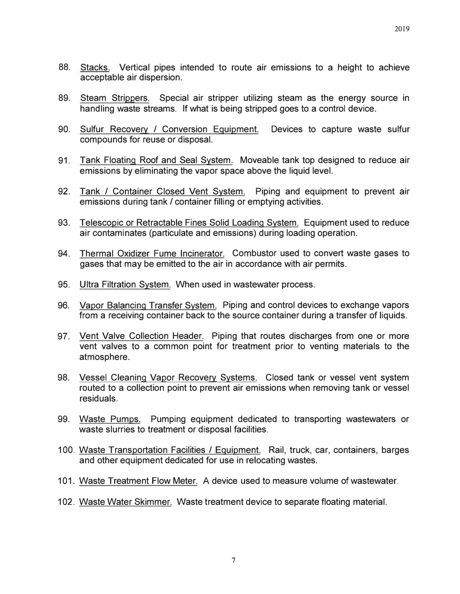- 88. Stacks. Vertical pipes intended to route air emissions to a height to achieve acceptable air dispersion.
- 89. Steam Strippers. Special air stripper utilizing steam as the energy source in handling waste streams. If what is being stripped goes to a control device.
- 90. Sulfur Recovery / Conversion Equipment. Devices to capture waste sulfur compounds for reuse or disposal.
- 91. Tank Floating Roof and Seal System. Moveable tank top designed to reduce air emissions by eliminating the vapor space above the liquid level.
- 92. Tank / Container Closed Vent System. Piping and equipment to prevent air emissions during tank/ container filling or emptying activities.
- 93. Telescopic or Retractable Fines Solid Loading System. Equipment used to reduce air contaminates (particulate and emissions} during loading operation.
- 94. Thermal Oxidizer Fume Incinerator. Combustor used to convert waste gases to gases that may be emitted to the air in accordance with air permits.
- 95. Ultra Filtration System. When used in wastewater process.
- 96. Vapor Balancing Transfer System. Piping and control devices to exchange vapors from a receiving container back to the source container during a transfer of liquids.
- 97. Vent Valve Collection Header. Piping that routes discharges from one or more vent valves to a common point for treatment prior to venting materials to the atmosphere.
- 98. Vessel Cleaning Vapor Recovery Systems. Closed tank or vessel vent system routed to a collection point to prevent air emissions when removing tank or vessel residuals.
- 99. Waste Pumps. Pumping equipment dedicated to transporting wastewaters or waste slurries to treatment or disposal facilities.
- 100. Waste Transportation Facilities / Equipment. Rail, truck, car, containers, barges and other equipment dedicated for use in relocating wastes.
- 101. Waste Treatment Flow Meter. A device used to measure volume of wastewater.
- 102. Waste Water Skimmer. Waste treatment device to separate floating material.